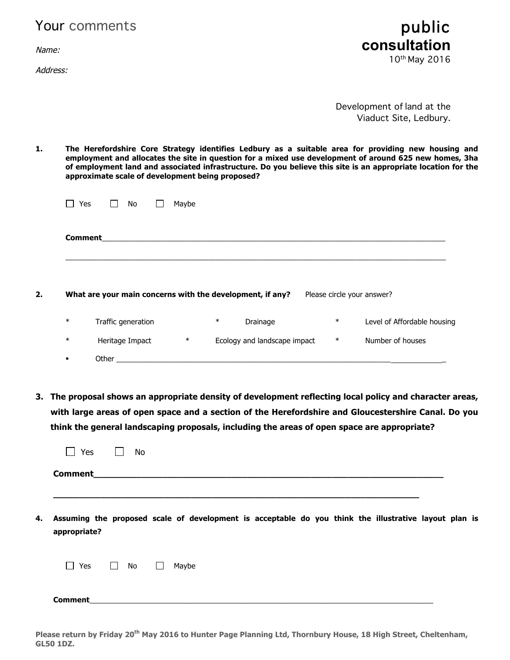|  | Your comments |  |
|--|---------------|--|
|--|---------------|--|

Name:

Address:



Development of land at the Viaduct Site, Ledbury.

**1. The Herefordshire Core Strategy identifies Ledbury as a suitable area for providing new housing and employment and allocates the site in question for a mixed use development of around 625 new homes, 3ha of employment land and associated infrastructure. Do you believe this site is an appropriate location for the approximate scale of development being proposed?**

|        | Yes<br>No                                                 | Maybe  |        |                              |        |                             |
|--------|-----------------------------------------------------------|--------|--------|------------------------------|--------|-----------------------------|
|        | <b>Comment</b>                                            |        |        |                              |        |                             |
|        |                                                           |        |        |                              |        |                             |
|        | What are your main concerns with the development, if any? |        |        |                              |        | Please circle your answer?  |
| $\ast$ | Traffic generation                                        |        | $\ast$ | Drainage                     | $\ast$ | Level of Affordable housing |
| $\ast$ | Heritage Impact                                           | $\ast$ |        | Ecology and landscape impact | $\ast$ | Number of houses            |

**3. The proposal shows an appropriate density of development reflecting local policy and character areas, with large areas of open space and a section of the Herefordshire and Gloucestershire Canal. Do you think the general landscaping proposals, including the areas of open space are appropriate?**

|    | Yes                 |           | No |                 |  |  |                                                                                                       |  |  |
|----|---------------------|-----------|----|-----------------|--|--|-------------------------------------------------------------------------------------------------------|--|--|
|    | <b>Comment</b>      |           |    |                 |  |  |                                                                                                       |  |  |
|    |                     |           |    |                 |  |  |                                                                                                       |  |  |
| 4. | appropriate?        |           |    |                 |  |  | Assuming the proposed scale of development is acceptable do you think the illustrative layout plan is |  |  |
|    | Yes<br>$\mathbf{L}$ | $\Box$ No |    | Maybe<br>$\Box$ |  |  |                                                                                                       |  |  |
|    | <b>Comment</b>      |           |    |                 |  |  |                                                                                                       |  |  |

**Please return by Friday 20th May 2016 to Hunter Page Planning Ltd, Thornbury House, 18 High Street, Cheltenham, GL50 1DZ.**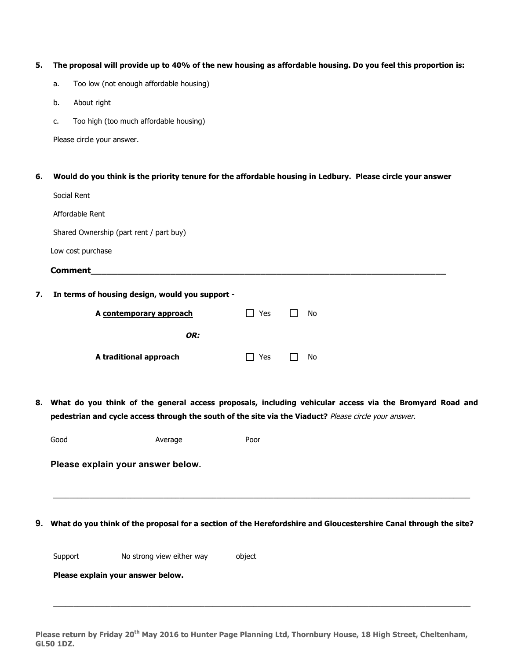#### **5. The proposal will provide up to 40% of the new housing as affordable housing. Do you feel this proportion is:**

- a. Too low (not enough affordable housing)
- b. About right
- c. Too high (too much affordable housing)

Please circle your answer.

# **6. Would do you think is the priority tenure for the affordable housing in Ledbury. Please circle your answer**

|    | Social Rent                                     |            |    |
|----|-------------------------------------------------|------------|----|
|    | Affordable Rent                                 |            |    |
|    | Shared Ownership (part rent / part buy)         |            |    |
|    | Low cost purchase                               |            |    |
|    | <b>Comment</b>                                  |            |    |
| 7. | In terms of housing design, would you support - |            |    |
|    | A contemporary approach                         | <b>Yes</b> | No |
|    | OR:                                             |            |    |
|    | A traditional approach                          | Yes        | No |
|    |                                                 |            |    |

**8. What do you think of the general access proposals, including vehicular access via the Bromyard Road and pedestrian and cycle access through the south of the site via the Viaduct?** Please circle your answer.

Good **Average** Poor

**Please explain your answer below.**

## **9. What do you think of the proposal for a section of the Herefordshire and Gloucestershire Canal through the site?**

Support No strong view either way biect

**Please explain your answer below.**

**Please return by Friday 20th May 2016 to Hunter Page Planning Ltd, Thornbury House, 18 High Street, Cheltenham, GL50 1DZ.** 

\_\_\_\_\_\_\_\_\_\_\_\_\_\_\_\_\_\_\_\_\_\_\_\_\_\_\_\_\_\_\_\_\_\_\_\_\_\_\_\_\_\_\_\_\_\_\_\_\_\_\_\_\_\_\_\_\_\_\_\_\_\_\_\_\_\_\_\_\_\_\_\_\_\_\_\_\_\_\_\_\_\_\_\_\_\_\_\_\_\_\_\_\_\_\_\_\_\_\_\_\_\_